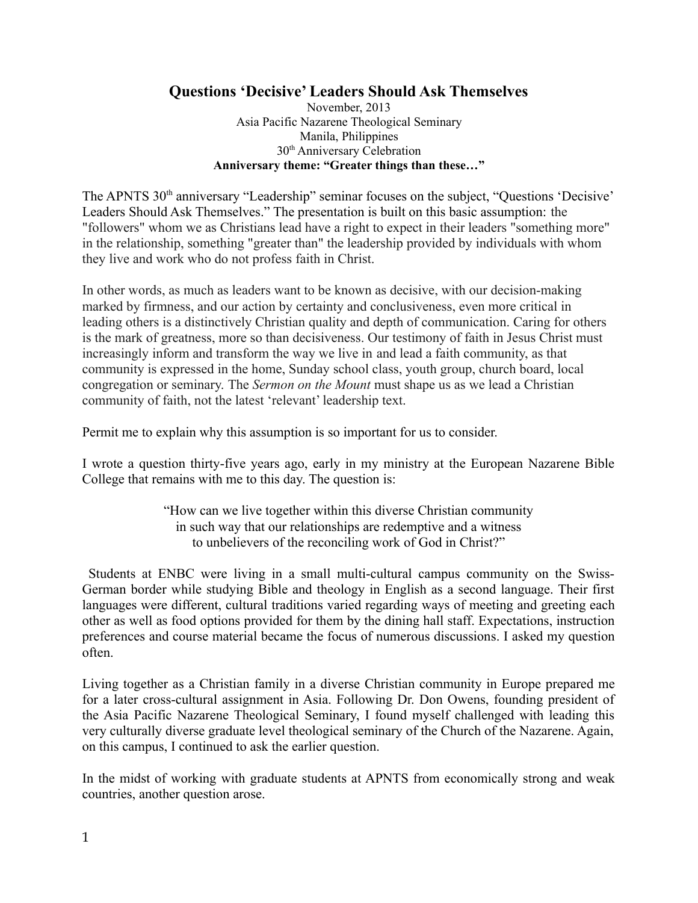## **Questions 'Decisive' Leaders Should Ask Themselves**

November, 2013 Asia Pacific Nazarene Theological Seminary Manila, Philippines 30th Anniversary Celebration **Anniversary theme: "Greater things than these…"**

The APNTS 30<sup>th</sup> anniversary "Leadership" seminar focuses on the subject, "Questions 'Decisive' Leaders Should Ask Themselves." The presentation is built on this basic assumption: the "followers" whom we as Christians lead have a right to expect in their leaders "something more" in the relationship, something "greater than" the leadership provided by individuals with whom they live and work who do not profess faith in Christ.

In other words, as much as leaders want to be known as decisive, with our decision-making marked by firmness, and our action by certainty and conclusiveness, even more critical in leading others is a distinctively Christian quality and depth of communication. Caring for others is the mark of greatness, more so than decisiveness. Our testimony of faith in Jesus Christ must increasingly inform and transform the way we live in and lead a faith community, as that community is expressed in the home, Sunday school class, youth group, church board, local congregation or seminary. The *Sermon on the Mount* must shape us as we lead a Christian community of faith, not the latest 'relevant' leadership text.

Permit me to explain why this assumption is so important for us to consider.

I wrote a question thirty-five years ago, early in my ministry at the European Nazarene Bible College that remains with me to this day. The question is:

> "How can we live together within this diverse Christian community in such way that our relationships are redemptive and a witness to unbelievers of the reconciling work of God in Christ?"

 Students at ENBC were living in a small multi-cultural campus community on the Swiss-German border while studying Bible and theology in English as a second language. Their first languages were different, cultural traditions varied regarding ways of meeting and greeting each other as well as food options provided for them by the dining hall staff. Expectations, instruction preferences and course material became the focus of numerous discussions. I asked my question often.

Living together as a Christian family in a diverse Christian community in Europe prepared me for a later cross-cultural assignment in Asia. Following Dr. Don Owens, founding president of the Asia Pacific Nazarene Theological Seminary, I found myself challenged with leading this very culturally diverse graduate level theological seminary of the Church of the Nazarene. Again, on this campus, I continued to ask the earlier question.

In the midst of working with graduate students at APNTS from economically strong and weak countries, another question arose.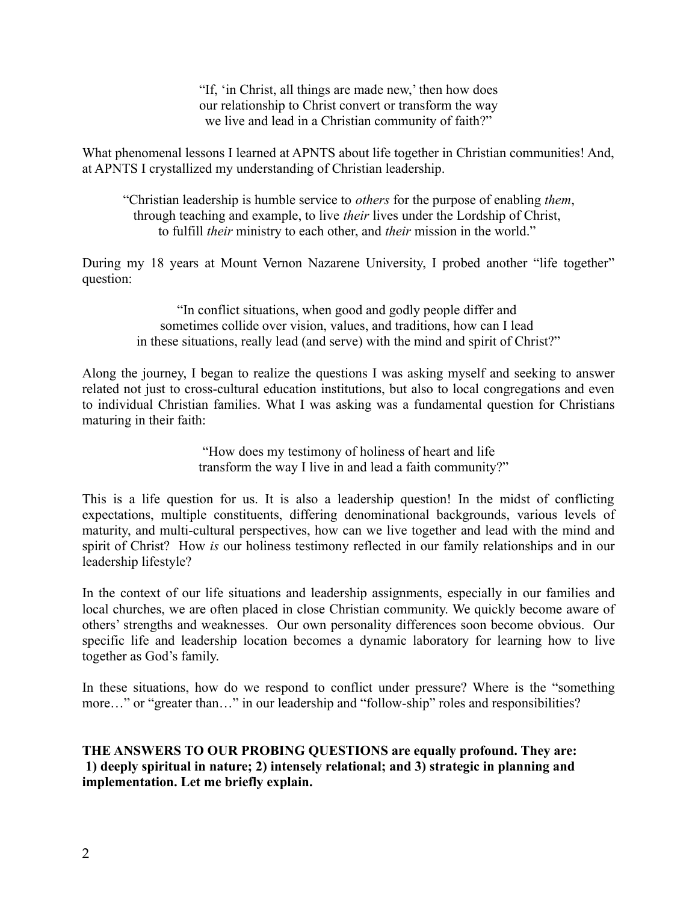"If, 'in Christ, all things are made new,' then how does our relationship to Christ convert or transform the way we live and lead in a Christian community of faith?"

What phenomenal lessons I learned at APNTS about life together in Christian communities! And, at APNTS I crystallized my understanding of Christian leadership.

"Christian leadership is humble service to *others* for the purpose of enabling *them*, through teaching and example, to live *their* lives under the Lordship of Christ, to fulfill *their* ministry to each other, and *their* mission in the world."

During my 18 years at Mount Vernon Nazarene University, I probed another "life together" question:

> "In conflict situations, when good and godly people differ and sometimes collide over vision, values, and traditions, how can I lead in these situations, really lead (and serve) with the mind and spirit of Christ?"

Along the journey, I began to realize the questions I was asking myself and seeking to answer related not just to cross-cultural education institutions, but also to local congregations and even to individual Christian families. What I was asking was a fundamental question for Christians maturing in their faith:

> "How does my testimony of holiness of heart and life transform the way I live in and lead a faith community?"

This is a life question for us. It is also a leadership question! In the midst of conflicting expectations, multiple constituents, differing denominational backgrounds, various levels of maturity, and multi-cultural perspectives, how can we live together and lead with the mind and spirit of Christ? How *is* our holiness testimony reflected in our family relationships and in our leadership lifestyle?

In the context of our life situations and leadership assignments, especially in our families and local churches, we are often placed in close Christian community. We quickly become aware of others' strengths and weaknesses. Our own personality differences soon become obvious. Our specific life and leadership location becomes a dynamic laboratory for learning how to live together as God's family.

In these situations, how do we respond to conflict under pressure? Where is the "something more…" or "greater than…" in our leadership and "follow-ship" roles and responsibilities?

**THE ANSWERS TO OUR PROBING QUESTIONS are equally profound. They are: 1) deeply spiritual in nature; 2) intensely relational; and 3) strategic in planning and implementation. Let me briefly explain.**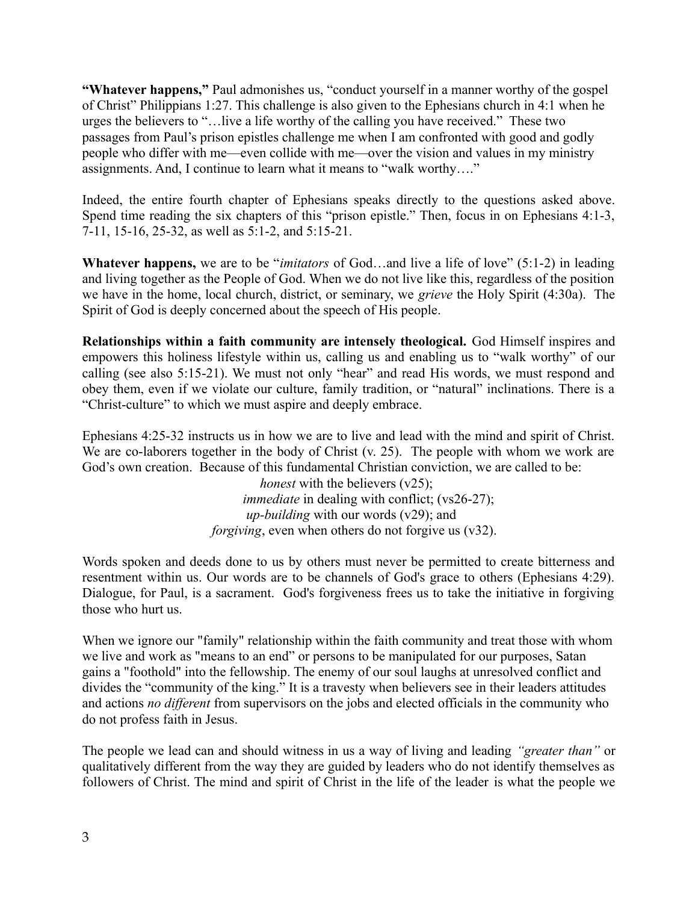**"Whatever happens,"** Paul admonishes us, "conduct yourself in a manner worthy of the gospel of Christ" Philippians 1:27. This challenge is also given to the Ephesians church in 4:1 when he urges the believers to "…live a life worthy of the calling you have received." These two passages from Paul's prison epistles challenge me when I am confronted with good and godly people who differ with me—even collide with me—over the vision and values in my ministry assignments. And, I continue to learn what it means to "walk worthy…."

Indeed, the entire fourth chapter of Ephesians speaks directly to the questions asked above. Spend time reading the six chapters of this "prison epistle." Then, focus in on Ephesians 4:1-3, 7-11, 15-16, 25-32, as well as 5:1-2, and 5:15-21.

**Whatever happens,** we are to be "*imitators* of God…and live a life of love" (5:1-2) in leading and living together as the People of God. When we do not live like this, regardless of the position we have in the home, local church, district, or seminary, we *grieve* the Holy Spirit (4:30a). The Spirit of God is deeply concerned about the speech of His people.

**Relationships within a faith community are intensely theological.** God Himself inspires and empowers this holiness lifestyle within us, calling us and enabling us to "walk worthy" of our calling (see also 5:15-21). We must not only "hear" and read His words, we must respond and obey them, even if we violate our culture, family tradition, or "natural" inclinations. There is a "Christ-culture" to which we must aspire and deeply embrace.

Ephesians 4:25-32 instructs us in how we are to live and lead with the mind and spirit of Christ. We are co-laborers together in the body of Christ (v. 25). The people with whom we work are God's own creation. Because of this fundamental Christian conviction, we are called to be:

*honest* with the believers (v25); *immediate* in dealing with conflict; (vs26-27);  *up-building* with our words (v29); and *forgiving*, even when others do not forgive us (v32).

Words spoken and deeds done to us by others must never be permitted to create bitterness and resentment within us. Our words are to be channels of God's grace to others (Ephesians 4:29). Dialogue, for Paul, is a sacrament. God's forgiveness frees us to take the initiative in forgiving those who hurt us.

When we ignore our "family" relationship within the faith community and treat those with whom we live and work as "means to an end" or persons to be manipulated for our purposes, Satan gains a "foothold" into the fellowship. The enemy of our soul laughs at unresolved conflict and divides the "community of the king." It is a travesty when believers see in their leaders attitudes and actions *no different* from supervisors on the jobs and elected officials in the community who do not profess faith in Jesus.

The people we lead can and should witness in us a way of living and leading *"greater than"* or qualitatively different from the way they are guided by leaders who do not identify themselves as followers of Christ. The mind and spirit of Christ in the life of the leader is what the people we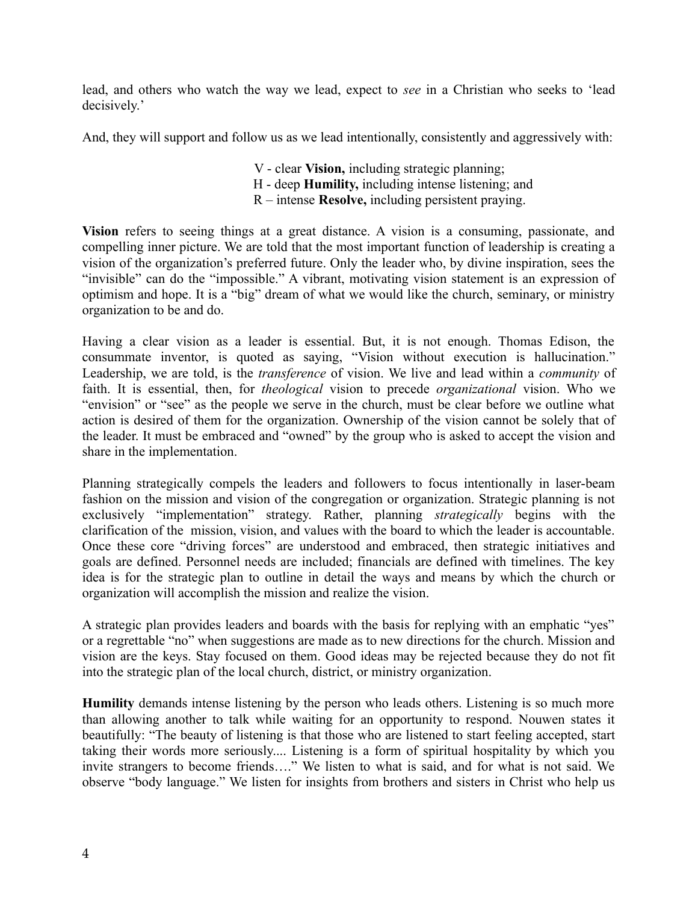lead, and others who watch the way we lead, expect to *see* in a Christian who seeks to 'lead decisively.'

And, they will support and follow us as we lead intentionally, consistently and aggressively with:

- V clear **Vision,** including strategic planning;
- H deep **Humility,** including intense listening; and
- R intense **Resolve,** including persistent praying.

**Vision** refers to seeing things at a great distance. A vision is a consuming, passionate, and compelling inner picture. We are told that the most important function of leadership is creating a vision of the organization's preferred future. Only the leader who, by divine inspiration, sees the "invisible" can do the "impossible." A vibrant, motivating vision statement is an expression of optimism and hope. It is a "big" dream of what we would like the church, seminary, or ministry organization to be and do.

Having a clear vision as a leader is essential. But, it is not enough. Thomas Edison, the consummate inventor, is quoted as saying, "Vision without execution is hallucination." Leadership, we are told, is the *transference* of vision. We live and lead within a *community* of faith. It is essential, then, for *theological* vision to precede *organizational* vision. Who we "envision" or "see" as the people we serve in the church, must be clear before we outline what action is desired of them for the organization. Ownership of the vision cannot be solely that of the leader. It must be embraced and "owned" by the group who is asked to accept the vision and share in the implementation.

Planning strategically compels the leaders and followers to focus intentionally in laser-beam fashion on the mission and vision of the congregation or organization. Strategic planning is not exclusively "implementation" strategy. Rather, planning *strategically* begins with the clarification of the mission, vision, and values with the board to which the leader is accountable. Once these core "driving forces" are understood and embraced, then strategic initiatives and goals are defined. Personnel needs are included; financials are defined with timelines. The key idea is for the strategic plan to outline in detail the ways and means by which the church or organization will accomplish the mission and realize the vision.

A strategic plan provides leaders and boards with the basis for replying with an emphatic "yes" or a regrettable "no" when suggestions are made as to new directions for the church. Mission and vision are the keys. Stay focused on them. Good ideas may be rejected because they do not fit into the strategic plan of the local church, district, or ministry organization.

**Humility** demands intense listening by the person who leads others. Listening is so much more than allowing another to talk while waiting for an opportunity to respond. Nouwen states it beautifully: "The beauty of listening is that those who are listened to start feeling accepted, start taking their words more seriously.... Listening is a form of spiritual hospitality by which you invite strangers to become friends…." We listen to what is said, and for what is not said. We observe "body language." We listen for insights from brothers and sisters in Christ who help us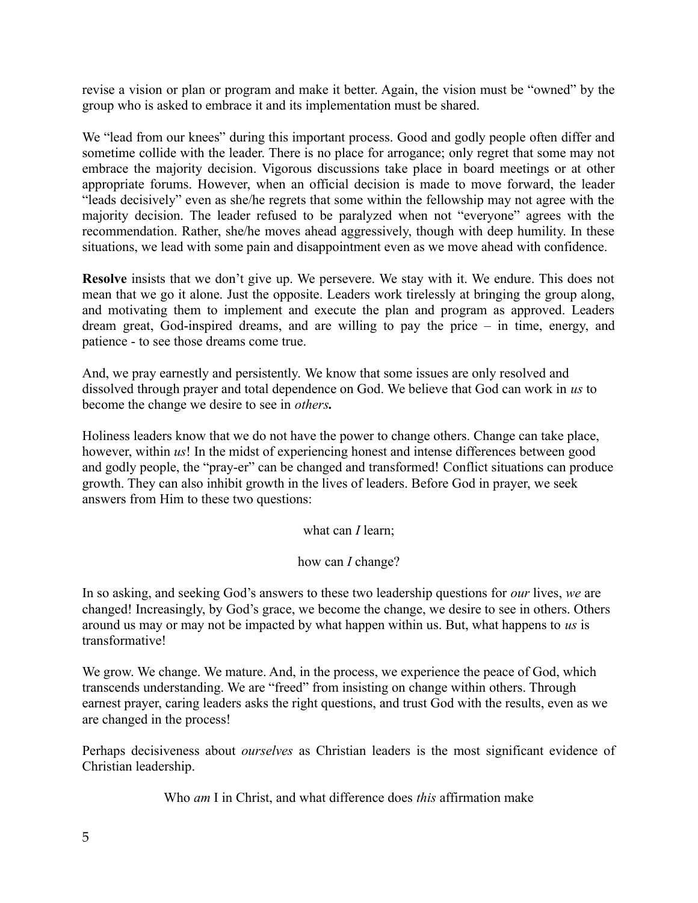revise a vision or plan or program and make it better. Again, the vision must be "owned" by the group who is asked to embrace it and its implementation must be shared.

We "lead from our knees" during this important process. Good and godly people often differ and sometime collide with the leader. There is no place for arrogance; only regret that some may not embrace the majority decision. Vigorous discussions take place in board meetings or at other appropriate forums. However, when an official decision is made to move forward, the leader "leads decisively" even as she/he regrets that some within the fellowship may not agree with the majority decision. The leader refused to be paralyzed when not "everyone" agrees with the recommendation. Rather, she/he moves ahead aggressively, though with deep humility. In these situations, we lead with some pain and disappointment even as we move ahead with confidence.

**Resolve** insists that we don't give up. We persevere. We stay with it. We endure. This does not mean that we go it alone. Just the opposite. Leaders work tirelessly at bringing the group along, and motivating them to implement and execute the plan and program as approved. Leaders dream great, God-inspired dreams, and are willing to pay the price – in time, energy, and patience - to see those dreams come true.

And, we pray earnestly and persistently. We know that some issues are only resolved and dissolved through prayer and total dependence on God. We believe that God can work in *us* to become the change we desire to see in *others.*

Holiness leaders know that we do not have the power to change others. Change can take place, however, within *us*! In the midst of experiencing honest and intense differences between good and godly people, the "pray-er" can be changed and transformed! Conflict situations can produce growth. They can also inhibit growth in the lives of leaders. Before God in prayer, we seek answers from Him to these two questions:

what can *I* learn;

how can *I* change?

In so asking, and seeking God's answers to these two leadership questions for *our* lives, *we* are changed! Increasingly, by God's grace, we become the change, we desire to see in others. Others around us may or may not be impacted by what happen within us. But, what happens to *us* is transformative!

We grow. We change. We mature. And, in the process, we experience the peace of God, which transcends understanding. We are "freed" from insisting on change within others. Through earnest prayer, caring leaders asks the right questions, and trust God with the results, even as we are changed in the process!

Perhaps decisiveness about *ourselves* as Christian leaders is the most significant evidence of Christian leadership.

Who *am* I in Christ, and what difference does *this* affirmation make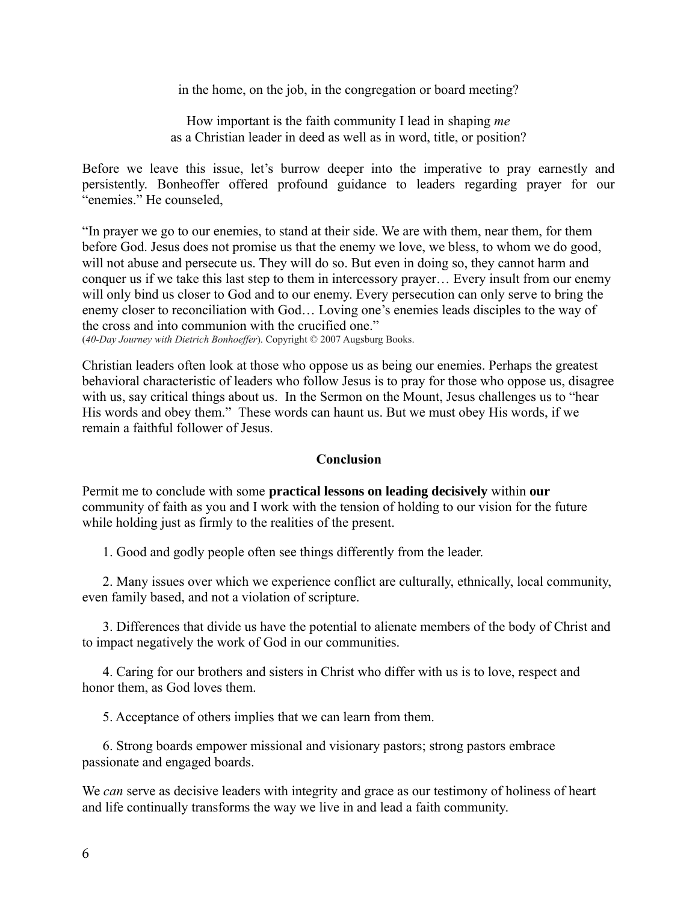in the home, on the job, in the congregation or board meeting?

How important is the faith community I lead in shaping *me* as a Christian leader in deed as well as in word, title, or position?

Before we leave this issue, let's burrow deeper into the imperative to pray earnestly and persistently. Bonheoffer offered profound guidance to leaders regarding prayer for our "enemies." He counseled,

"In prayer we go to our enemies, to stand at their side. We are with them, near them, for them before God. Jesus does not promise us that the enemy we love, we bless, to whom we do good, will not abuse and persecute us. They will do so. But even in doing so, they cannot harm and conquer us if we take this last step to them in intercessory prayer… Every insult from our enemy will only bind us closer to God and to our enemy. Every persecution can only serve to bring the enemy closer to reconciliation with God… Loving one's enemies leads disciples to the way of the cross and into communion with the crucified one."

(*40-Day Journey with Dietrich Bonhoeffer*). Copyright © 2007 Augsburg Books.

Christian leaders often look at those who oppose us as being our enemies. Perhaps the greatest behavioral characteristic of leaders who follow Jesus is to pray for those who oppose us, disagree with us, say critical things about us. In the Sermon on the Mount, Jesus challenges us to "hear His words and obey them." These words can haunt us. But we must obey His words, if we remain a faithful follower of Jesus.

## **Conclusion**

Permit me to conclude with some **practical lessons on leading decisively** within **our** community of faith as you and I work with the tension of holding to our vision for the future while holding just as firmly to the realities of the present.

1. Good and godly people often see things differently from the leader.

2. Many issues over which we experience conflict are culturally, ethnically, local community, even family based, and not a violation of scripture.

3. Differences that divide us have the potential to alienate members of the body of Christ and to impact negatively the work of God in our communities.

4. Caring for our brothers and sisters in Christ who differ with us is to love, respect and honor them, as God loves them.

5. Acceptance of others implies that we can learn from them.

6. Strong boards empower missional and visionary pastors; strong pastors embrace passionate and engaged boards.

We *can* serve as decisive leaders with integrity and grace as our testimony of holiness of heart and life continually transforms the way we live in and lead a faith community.